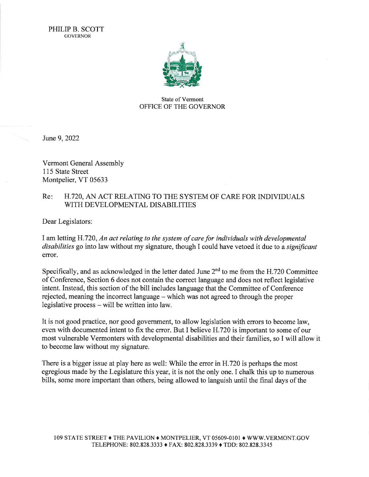

## State of Vermont OFFICE OF THE GOVERNOR

June 9,2022

Vermont General Assembly 115 State Street Montpelier, VT 05633

## Re: H.720, AN ACT RELATING TO THE SYSTEM OF CARE FOR INDIVIDUALS WITH DEVELOPMENTAL DISABILITIES

Dear Legislators:

I am letting H.720, An act relating to the system of care for individuals with developmental disabilities go into law without my signature, though I could have vetoed it due to a significant error.

Specifically, and as acknowledged in the letter dated June  $2<sup>nd</sup>$  to me from the H.720 Committee of Conference, Section 6 does not contain the correct language and does not reflect legislative intent. Instead, this section of the bill includes language that the Committee of Conference rejected, meaning the incorrect language – which was not agreed to through the proper legislative process - will be written into law.

It is not good practice, nor good government, to allow legislation with errors to become law, even with documented intent to fix the error. But I believe H.720 is important to some of our most vulnerable Vermonters with developmental disabilities and their families, so I will allow it to become law without my signature.

There is a bigger issue at play here as well: While the error in H.720 is perhaps the most egregious made by the Legislature this year, it is not the only one. I chalk this up to numerous bills, some more important than others, being allowed to languish until the final days of the